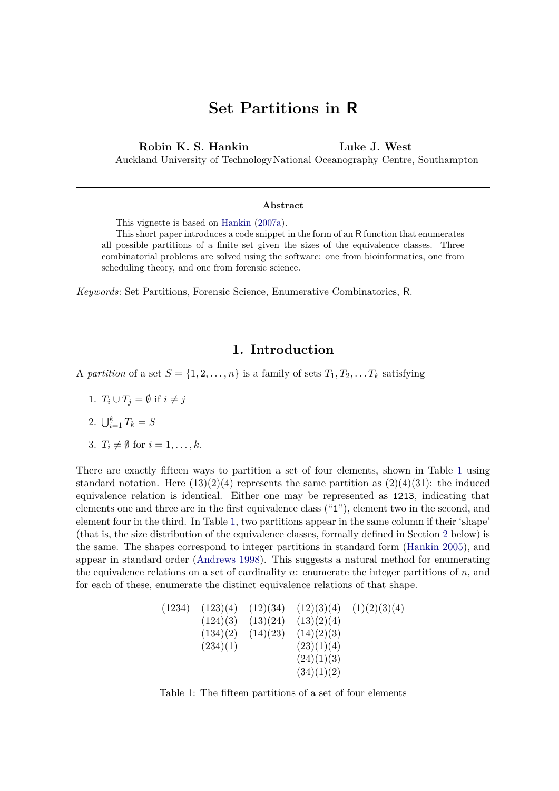# **Set Partitions in R**

**Robin K. S. Hankin** Auckland University of Technology National Oceanography Centre, Southampton **Luke J. West**

#### **Abstract**

This vignette is based on [Hankin](#page-12-0) [\(2007a\)](#page-12-0).

This short paper introduces a code snippet in the form of an R function that enumerates all possible partitions of a finite set given the sizes of the equivalence classes. Three combinatorial problems are solved using the software: one from bioinformatics, one from scheduling theory, and one from forensic science.

*Keywords*: Set Partitions, Forensic Science, Enumerative Combinatorics, R.

# **1. Introduction**

- A partition of a set  $S = \{1, 2, \ldots, n\}$  is a family of sets  $T_1, T_2, \ldots, T_k$  satisfying
	- 1.  $T_i \cup T_j = \emptyset$  if  $i \neq j$
	- 2.  $\bigcup_{i=1}^{k} T_k = S$
	- 3.  $T_i \neq \emptyset$  for  $i = 1, \ldots, k$ .

There are exactly fifteen ways to partition a set of four elements, shown in Table [1](#page-0-0) using standard notation. Here  $(13)(2)(4)$  represents the same partition as  $(2)(4)(31)$ : the induced equivalence relation is identical. Either one may be represented as 1213, indicating that elements one and three are in the first equivalence class ("1"), element two in the second, and element four in the third. In Table [1,](#page-0-0) two partitions appear in the same column if their 'shape' (that is, the size distribution of the equivalence classes, formally defined in Section [2](#page-1-0) below) is the same. The shapes correspond to integer partitions in standard form [\(Hankin 2005\)](#page-12-1), and appear in standard order [\(Andrews 1998\)](#page-11-0). This suggests a natural method for enumerating the equivalence relations on a set of cardinality *n*: enumerate the integer partitions of *n*, and for each of these, enumerate the distinct equivalence relations of that shape.

| (1234) | (123)(4) | (12)(34) | (12)(3)(4) | (1)(2)(3)(4) |
|--------|----------|----------|------------|--------------|
|        | (124)(3) | (13)(24) | (13)(2)(4) |              |
|        | (134)(2) | (14)(23) | (14)(2)(3) |              |
|        | (234)(1) |          | (23)(1)(4) |              |
|        |          |          | (24)(1)(3) |              |
|        |          |          | (34)(1)(2) |              |
|        |          |          |            |              |

<span id="page-0-0"></span>Table 1: The fifteen partitions of a set of four elements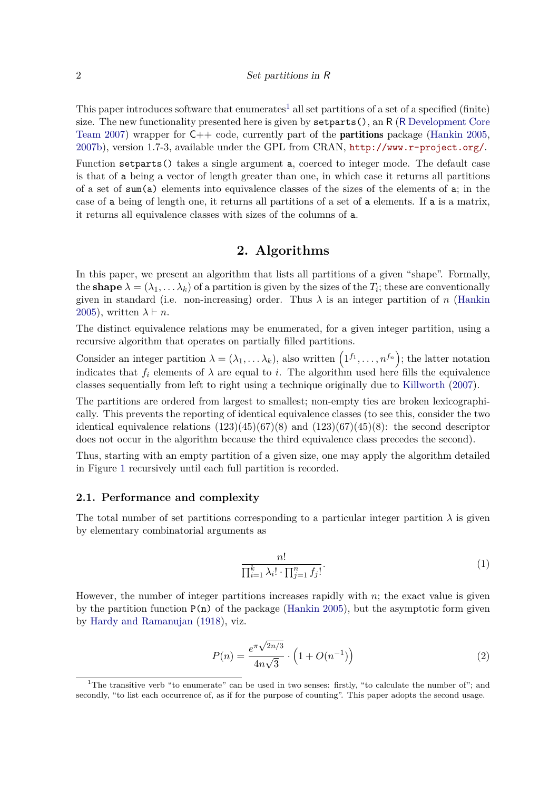This paper introduces software that enumerates<sup>[1](#page-1-1)</sup> all set partitions of a set of a specified (finite) size. The new functionality presented here is given by setparts(), an R (R [Development Core](#page-12-2) [Team 2007\)](#page-12-2) wrapper for  $C++$  code, currently part of the **partitions** package [\(Hankin 2005,](#page-12-1) [2007b\)](#page-12-3), version 1.7-3, available under the GPL from CRAN, <http://www.r-project.org/>.

Function setparts() takes a single argument a, coerced to integer mode. The default case is that of a being a vector of length greater than one, in which case it returns all partitions of a set of sum(a) elements into equivalence classes of the sizes of the elements of a; in the case of a being of length one, it returns all partitions of a set of a elements. If a is a matrix, it returns all equivalence classes with sizes of the columns of a.

### **2. Algorithms**

<span id="page-1-0"></span>In this paper, we present an algorithm that lists all partitions of a given "shape". Formally, the **shape**  $\lambda = (\lambda_1, \dots, \lambda_k)$  of a partition is given by the sizes of the  $T_i$ ; these are conventionally given in standard (i.e. non-increasing) order. Thus  $\lambda$  is an integer partition of *n* [\(Hankin](#page-12-1) [2005\)](#page-12-1), written  $\lambda \vdash n$ .

The distinct equivalence relations may be enumerated, for a given integer partition, using a recursive algorithm that operates on partially filled partitions.

Consider an integer partition  $\lambda = (\lambda_1, \dots, \lambda_k)$ , also written  $(1^{f_1}, \dots, n^{f_n})$ ; the latter notation indicates that  $f_i$  elements of  $\lambda$  are equal to *i*. The algorithm used here fills the equivalence classes sequentially from left to right using a technique originally due to [Killworth](#page-12-4) [\(2007\)](#page-12-4).

The partitions are ordered from largest to smallest; non-empty ties are broken lexicographically. This prevents the reporting of identical equivalence classes (to see this, consider the two identical equivalence relations  $(123)(45)(67)(8)$  and  $(123)(67)(45)(8)$ : the second descriptor does not occur in the algorithm because the third equivalence class precedes the second).

Thus, starting with an empty partition of a given size, one may apply the algorithm detailed in Figure [1](#page-2-0) recursively until each full partition is recorded.

#### **2.1. Performance and complexity**

The total number of set partitions corresponding to a particular integer partition  $\lambda$  is given by elementary combinatorial arguments as

$$
\frac{n!}{\prod_{i=1}^{k} \lambda_i! \cdot \prod_{j=1}^{n} f_j!}.
$$
\n
$$
(1)
$$

However, the number of integer partitions increases rapidly with *n*; the exact value is given by the partition function  $P(n)$  of the package [\(Hankin 2005\)](#page-12-1), but the asymptotic form given by [Hardy and Ramanujan](#page-12-5) [\(1918\)](#page-12-5), viz.

$$
P(n) = \frac{e^{\pi\sqrt{2n/3}}}{4n\sqrt{3}} \cdot \left(1 + O(n^{-1})\right)
$$
 (2)

<span id="page-1-1"></span><sup>&</sup>lt;sup>1</sup>The transitive verb "to enumerate" can be used in two senses: firstly, "to calculate the number of"; and secondly, "to list each occurrence of, as if for the purpose of counting". This paper adopts the second usage.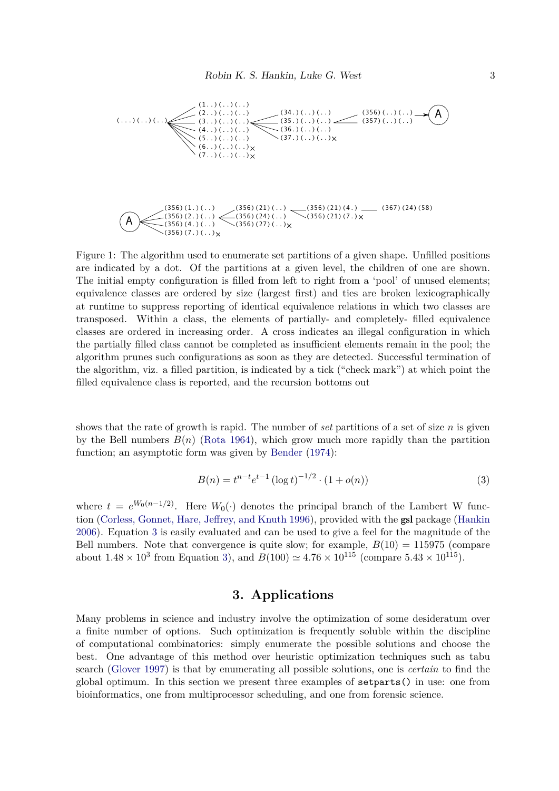

<span id="page-2-0"></span>Figure 1: The algorithm used to enumerate set partitions of a given shape. Unfilled positions are indicated by a dot. Of the partitions at a given level, the children of one are shown. The initial empty configuration is filled from left to right from a 'pool' of unused elements; equivalence classes are ordered by size (largest first) and ties are broken lexicographically at runtime to suppress reporting of identical equivalence relations in which two classes are transposed. Within a class, the elements of partially- and completely- filled equivalence classes are ordered in increasing order. A cross indicates an illegal configuration in which the partially filled class cannot be completed as insufficient elements remain in the pool; the algorithm prunes such configurations as soon as they are detected. Successful termination of the algorithm, viz. a filled partition, is indicated by a tick ("check mark") at which point the filled equivalence class is reported, and the recursion bottoms out

shows that the rate of growth is rapid. The number of *set* partitions of a set of size *n* is given by the Bell numbers  $B(n)$  [\(Rota 1964\)](#page-12-6), which grow much more rapidly than the partition function; an asymptotic form was given by [Bender](#page-11-1)  $(1974)$ :

<span id="page-2-1"></span>
$$
B(n) = t^{n-t} e^{t-1} (\log t)^{-1/2} \cdot (1 + o(n))
$$
\n(3)

where  $t = e^{W_0(n-1/2)}$ . Here  $W_0(\cdot)$  denotes the principal branch of the Lambert W function [\(Corless, Gonnet, Hare, Jeffrey, and Knuth 1996\)](#page-11-2), provided with the gsl package [\(Hankin](#page-12-7) [2006\)](#page-12-7). Equation [3](#page-2-1) is easily evaluated and can be used to give a feel for the magnitude of the Bell numbers. Note that convergence is quite slow; for example,  $B(10) = 115975$  (compare about  $1.48 \times 10^3$  from Equation [3\)](#page-2-1), and  $B(100) \simeq 4.76 \times 10^{115}$  (compare  $5.43 \times 10^{115}$ ).

# **3. Applications**

Many problems in science and industry involve the optimization of some desideratum over a finite number of options. Such optimization is frequently soluble within the discipline of computational combinatorics: simply enumerate the possible solutions and choose the best. One advantage of this method over heuristic optimization techniques such as tabu search [\(Glover 1997\)](#page-12-8) is that by enumerating all possible solutions, one is *certain* to find the global optimum. In this section we present three examples of setparts() in use: one from bioinformatics, one from multiprocessor scheduling, and one from forensic science.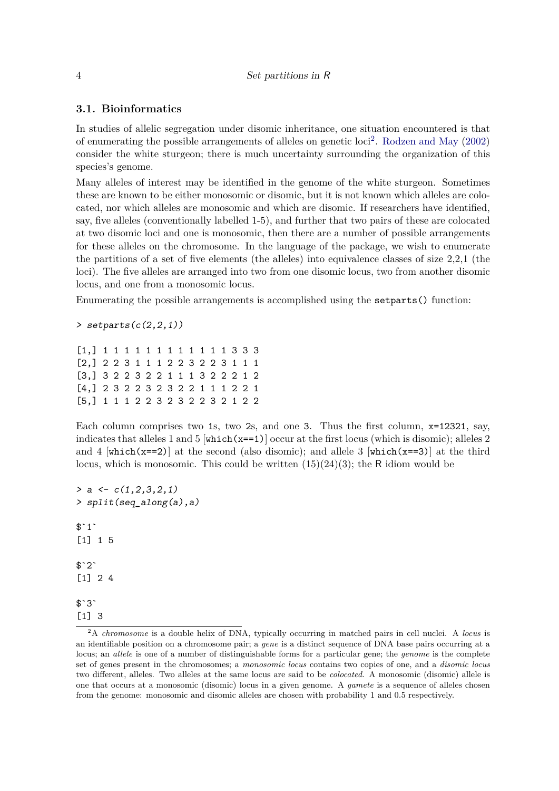### **3.1. Bioinformatics**

In studies of allelic segregation under disomic inheritance, one situation encountered is that of enumerating the possible arrangements of alleles on genetic loci<sup>[2](#page-3-0)</sup>. [Rodzen and May](#page-12-9)  $(2002)$ consider the white sturgeon; there is much uncertainty surrounding the organization of this species's genome.

Many alleles of interest may be identified in the genome of the white sturgeon. Sometimes these are known to be either monosomic or disomic, but it is not known which alleles are colocated, nor which alleles are monosomic and which are disomic. If researchers have identified, say, five alleles (conventionally labelled 1-5), and further that two pairs of these are colocated at two disomic loci and one is monosomic, then there are a number of possible arrangements for these alleles on the chromosome. In the language of the package, we wish to enumerate the partitions of a set of five elements (the alleles) into equivalence classes of size 2,2,1 (the loci). The five alleles are arranged into two from one disomic locus, two from another disomic locus, and one from a monosomic locus.

Enumerating the possible arrangements is accomplished using the setparts() function:

*> setparts(c(2,2,1))*

[1,] 1 1 1 1 1 1 1 1 1 1 1 1 3 3 3 [2,] 2 2 3 1 1 1 2 2 3 2 2 3 1 1 1 [3,] 3 2 2 3 2 2 1 1 1 3 2 2 2 1 2 [4,] 2 3 2 2 3 2 3 2 2 1 1 1 2 2 1 [5,] 1 1 1 2 2 3 2 3 2 2 3 2 1 2 2

Each column comprises two 1s, two 2s, and one 3. Thus the first column, x=12321, say, indicates that alleles 1 and 5  $[\text{which}(x=-1)]$  occur at the first locus (which is disomic); alleles 2 and 4  $[\text{which}(x==2)]$  at the second (also disomic); and allele 3  $[\text{which}(x==3)]$  at the third locus, which is monosomic. This could be written  $(15)(24)(3)$ ; the R idiom would be

```
> a <- c(1,2,3,2,1)
> split(seq_along(a),a)
$^{\circ}1^{\circ}[1] 1 5
$^{\circ}2^{\circ}[1] 2 4
$3`3`
[1] 3
```
<span id="page-3-0"></span><sup>2</sup>A *chromosome* is a double helix of DNA, typically occurring in matched pairs in cell nuclei. A *locus* is an identifiable position on a chromosome pair; a *gene* is a distinct sequence of DNA base pairs occurring at a locus; an *allele* is one of a number of distinguishable forms for a particular gene; the *genome* is the complete set of genes present in the chromosomes; a *monosomic locus* contains two copies of one, and a *disomic locus* two different, alleles. Two alleles at the same locus are said to be *colocated*. A monosomic (disomic) allele is one that occurs at a monosomic (disomic) locus in a given genome. A *gamete* is a sequence of alleles chosen from the genome: monosomic and disomic alleles are chosen with probability 1 and 0.5 respectively.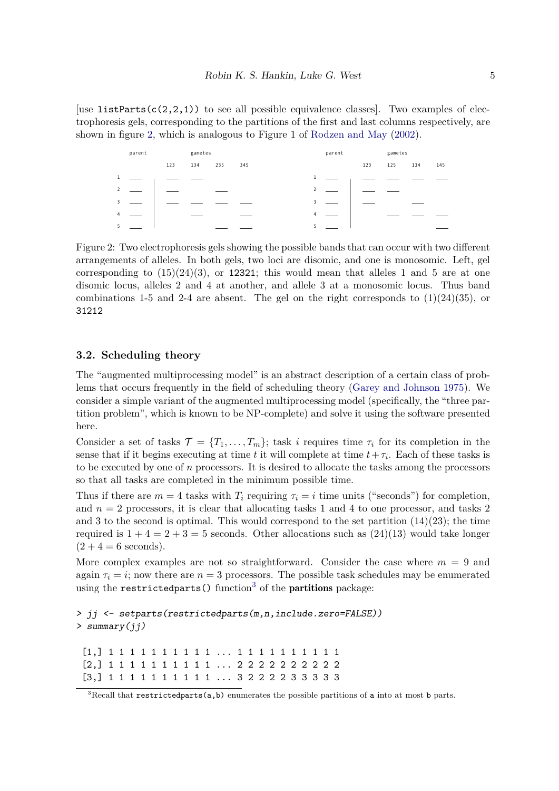[use listParts( $c(2,2,1)$ ) to see all possible equivalence classes]. Two examples of electrophoresis gels, corresponding to the partitions of the first and last columns respectively, are shown in figure [2,](#page-4-0) which is analogous to Figure 1 of [Rodzen and May](#page-12-9) [\(2002\)](#page-12-9).

|                         | parent |     | gametes |     |     | parent         |  | gametes |     |     |     |
|-------------------------|--------|-----|---------|-----|-----|----------------|--|---------|-----|-----|-----|
|                         |        | 123 | 134     | 235 | 345 |                |  | 123     | 125 | 134 | 145 |
| $\mathbf{1}$            |        |     |         |     |     | $\mathbf{1}$   |  |         |     |     |     |
| $\overline{2}$          |        |     |         |     |     | $\overline{2}$ |  |         |     |     |     |
| $\overline{\mathbf{3}}$ |        |     |         |     |     | 3              |  |         |     |     |     |
| $\overline{4}$          |        |     |         |     |     | $\overline{4}$ |  |         |     |     |     |
| 5                       |        |     |         |     |     |                |  |         |     |     |     |

<span id="page-4-0"></span>Figure 2: Two electrophoresis gels showing the possible bands that can occur with two different arrangements of alleles. In both gels, two loci are disomic, and one is monosomic. Left, gel corresponding to  $(15)(24)(3)$ , or 12321; this would mean that alleles 1 and 5 are at one disomic locus, alleles 2 and 4 at another, and allele 3 at a monosomic locus. Thus band combinations 1-5 and 2-4 are absent. The gel on the right corresponds to  $(1)(24)(35)$ , or 31212

### **3.2. Scheduling theory**

The "augmented multiprocessing model" is an abstract description of a certain class of problems that occurs frequently in the field of scheduling theory [\(Garey and Johnson 1975\)](#page-12-10). We consider a simple variant of the augmented multiprocessing model (specifically, the "three partition problem", which is known to be NP-complete) and solve it using the software presented here.

Consider a set of tasks  $\mathcal{T} = \{T_1, \ldots, T_m\}$ ; task *i* requires time  $\tau_i$  for its completion in the sense that if it begins executing at time *t* it will complete at time  $t + \tau_i$ . Each of these tasks is to be executed by one of *n* processors. It is desired to allocate the tasks among the processors so that all tasks are completed in the minimum possible time.

Thus if there are  $m = 4$  tasks with  $T_i$  requiring  $\tau_i = i$  time units ("seconds") for completion, and  $n = 2$  processors, it is clear that allocating tasks 1 and 4 to one processor, and tasks 2 and 3 to the second is optimal. This would correspond to the set partition  $(14)(23)$ ; the time required is  $1+4=2+3=5$  seconds. Other allocations such as  $(24)(13)$  would take longer  $(2 + 4 = 6$  seconds).

More complex examples are not so straightforward. Consider the case where  $m = 9$  and again  $\tau_i = i$ ; now there are  $n = 3$  processors. The possible task schedules may be enumerated using the restricted parts () function<sup>[3](#page-4-1)</sup> of the **partitions** package:

*> jj <- setparts(restrictedparts(m,n,include.zero=FALSE)) > summary(jj)*

[1,] 1 1 1 1 1 1 1 1 1 1 ... 1 1 1 1 1 1 1 1 1 1 [2,] 1 1 1 1 1 1 1 1 1 1 ... 2 2 2 2 2 2 2 2 2 2 [3,] 1 1 1 1 1 1 1 1 1 1 ... 3 2 2 2 2 3 3 3 3 3

<span id="page-4-1"></span> $3$ Recall that restrictedparts(a,b) enumerates the possible partitions of a into at most b parts.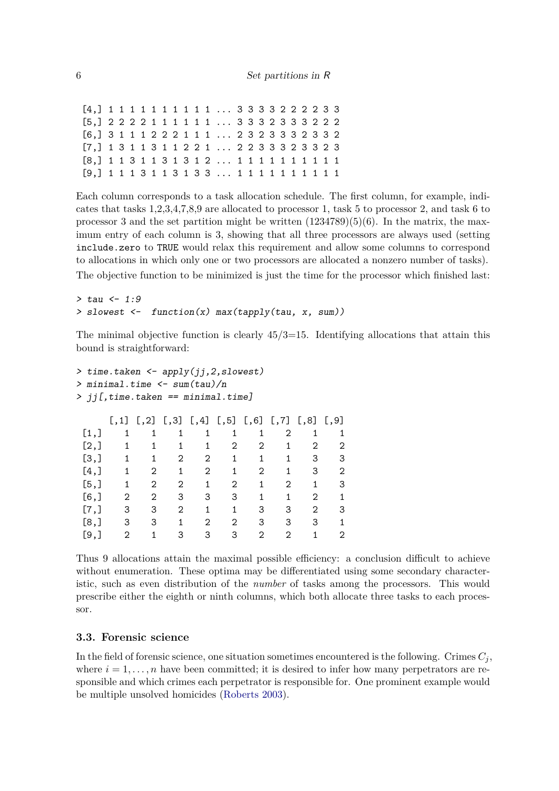[4,] 1 1 1 1 1 1 1 1 1 1 ... 3 3 3 3 2 2 2 2 3 3 [5,] 2 2 2 2 1 1 1 1 1 1 ... 3 3 3 2 3 3 3 2 2 2 [6,] 3 1 1 1 2 2 2 1 1 1 ... 2 3 2 3 3 3 2 3 3 2 [7,] 1 3 1 1 3 1 1 2 2 1 ... 2 2 3 3 3 2 3 3 2 3 [8,] 1 1 3 1 1 3 1 3 1 2 ... 1 1 1 1 1 1 1 1 1 1 [9,] 1 1 1 3 1 1 3 1 3 3 ... 1 1 1 1 1 1 1 1 1 1

Each column corresponds to a task allocation schedule. The first column, for example, indicates that tasks 1,2,3,4,7,8,9 are allocated to processor 1, task 5 to processor 2, and task 6 to processor 3 and the set partition might be written  $(1234789)(5)(6)$ . In the matrix, the maximum entry of each column is 3, showing that all three processors are always used (setting include.zero to TRUE would relax this requirement and allow some columns to correspond to allocations in which only one or two processors are allocated a nonzero number of tasks). The objective function to be minimized is just the time for the processor which finished last:

```
> tau <- 1:9
> slowest <- function(x) max(tapply(tau, x, sum))
```
The minimal objective function is clearly  $45/3=15$ . Identifying allocations that attain this bound is straightforward:

```
> time.taken <- apply(jj,2,slowest)
> minimal.time <- sum(tau)/n
> jj[,time.taken == minimal.time]
   [0,1] [0,2] [0,3] [0,4] [0,5] [0,6] [0,7] [0,8] [0,9][1,] 1 1 1 1 1 1 2 1 1
[2,] 1 1 1 1 2 2 1 2 2
[3,] 1 1 2 2 1 1 1 3 3
[4,] 1 2 1 2 1 2 1 3 2
[5,] 1 2 2 1 2 1 2 1 3
[6,] 2 2 3 3 3 1 1 2 1
[7,] 3 3 2 1 1 3 3 2 3
[8,] 3 3 1 2 2 3 3 3 1
[9,] 2 1 3 3 3 2 2 1 2
```
Thus 9 allocations attain the maximal possible efficiency: a conclusion difficult to achieve without enumeration. These optima may be differentiated using some secondary characteristic, such as even distribution of the *number* of tasks among the processors. This would prescribe either the eighth or ninth columns, which both allocate three tasks to each processor.

### **3.3. Forensic science**

In the field of forensic science, one situation sometimes encountered is the following. Crimes  $C_i$ , where  $i = 1, \ldots, n$  have been committed; it is desired to infer how many perpetrators are responsible and which crimes each perpetrator is responsible for. One prominent example would be multiple unsolved homicides [\(Roberts 2003\)](#page-12-11).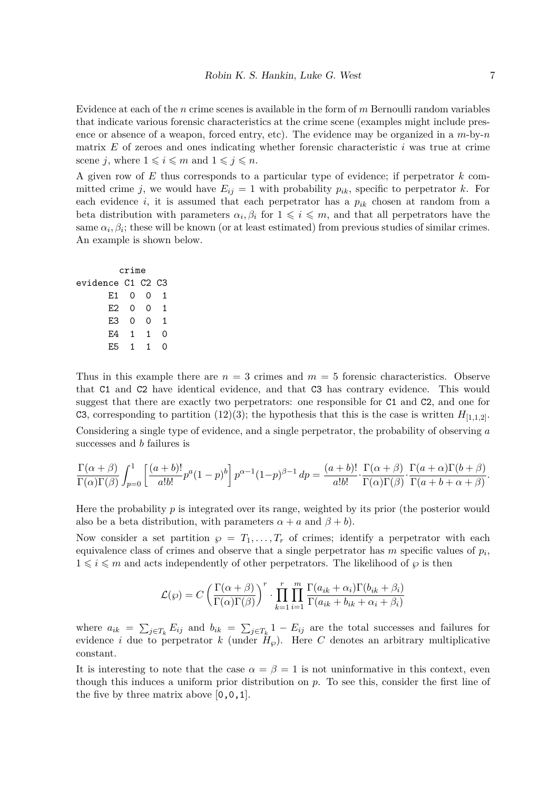Evidence at each of the *n* crime scenes is available in the form of *m* Bernoulli random variables that indicate various forensic characteristics at the crime scene (examples might include presence or absence of a weapon, forced entry, etc). The evidence may be organized in a *m*-by-*n* matrix *E* of zeroes and ones indicating whether forensic characteristic *i* was true at crime scene *j*, where  $1 \leq i \leq m$  and  $1 \leq j \leq n$ .

A given row of *E* thus corresponds to a particular type of evidence; if perpetrator *k* committed crime *j*, we would have  $E_{ij} = 1$  with probability  $p_{ik}$ , specific to perpetrator *k*. For each evidence *i*, it is assumed that each perpetrator has a *pik* chosen at random from a beta distribution with parameters  $\alpha_i, \beta_i$  for  $1 \leq i \leq m$ , and that all perpetrators have the same  $\alpha_i, \beta_i$ ; these will be known (or at least estimated) from previous studies of similar crimes. An example is shown below.

```
crime
evidence C1 C2 C3
     E1 0 0 1
     E2 0 0 1
     E3 0 0 1
     E4 1 1 0
     E5 1 1 0
```
Thus in this example there are  $n = 3$  crimes and  $m = 5$  forensic characteristics. Observe that C1 and C2 have identical evidence, and that C3 has contrary evidence. This would suggest that there are exactly two perpetrators: one responsible for C1 and C2, and one for C3, corresponding to partition (12)(3); the hypothesis that this is the case is written  $H_{[1,1,2]}$ . Considering a single type of evidence, and a single perpetrator, the probability of observing *a* successes and *b* failures is

$$
\frac{\Gamma(\alpha+\beta)}{\Gamma(\alpha)\Gamma(\beta)} \int_{p=0}^{1} \left[ \frac{(a+b)!}{a!b!} p^a (1-p)^b \right] p^{\alpha-1} (1-p)^{\beta-1} \, dp = \frac{(a+b)!}{a!b!} \cdot \frac{\Gamma(\alpha+\beta)}{\Gamma(\alpha)\Gamma(\beta)} \cdot \frac{\Gamma(a+\alpha)\Gamma(b+\beta)}{\Gamma(a+b+\alpha+\beta)}.
$$

Here the probability  $p$  is integrated over its range, weighted by its prior (the posterior would also be a beta distribution, with parameters  $\alpha + a$  and  $\beta + b$ ).

Now consider a set partition  $\varphi = T_1, \ldots, T_r$  of crimes; identify a perpetrator with each equivalence class of crimes and observe that a single perpetrator has *m* specific values of *p<sup>i</sup>* ,  $1 \leq i \leq m$  and acts independently of other perpetrators. The likelihood of  $\varphi$  is then

$$
\mathcal{L}(\wp) = C \left( \frac{\Gamma(\alpha + \beta)}{\Gamma(\alpha)\Gamma(\beta)} \right)^r \cdot \prod_{k=1}^r \prod_{i=1}^m \frac{\Gamma(a_{ik} + \alpha_i)\Gamma(b_{ik} + \beta_i)}{\Gamma(a_{ik} + b_{ik} + \alpha_i + \beta_i)}
$$

where  $a_{ik} = \sum_{j \in T_k} E_{ij}$  and  $b_{ik} = \sum_{j \in T_k} 1 - E_{ij}$  are the total successes and failures for evidence *i* due to perpetrator *k* (under  $H_{\varphi}$ ). Here *C* denotes an arbitrary multiplicative constant.

It is interesting to note that the case  $\alpha = \beta = 1$  is not uninformative in this context, even though this induces a uniform prior distribution on *p*. To see this, consider the first line of the five by three matrix above  $[0,0,1]$ .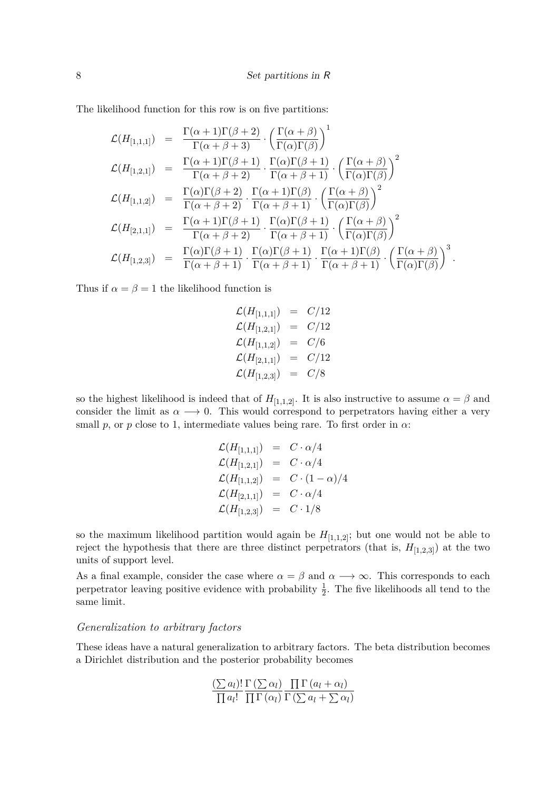The likelihood function for this row is on five partitions:

$$
\mathcal{L}(H_{[1,1,1]}) = \frac{\Gamma(\alpha+1)\Gamma(\beta+2)}{\Gamma(\alpha+\beta+3)} \cdot \left(\frac{\Gamma(\alpha+\beta)}{\Gamma(\alpha)\Gamma(\beta)}\right)^{1}
$$
\n
$$
\mathcal{L}(H_{[1,2,1]}) = \frac{\Gamma(\alpha+1)\Gamma(\beta+1)}{\Gamma(\alpha+\beta+2)} \cdot \frac{\Gamma(\alpha)\Gamma(\beta+1)}{\Gamma(\alpha+\beta+1)} \cdot \left(\frac{\Gamma(\alpha+\beta)}{\Gamma(\alpha)\Gamma(\beta)}\right)^{2}
$$
\n
$$
\mathcal{L}(H_{[1,1,2]}) = \frac{\Gamma(\alpha)\Gamma(\beta+2)}{\Gamma(\alpha+\beta+2)} \cdot \frac{\Gamma(\alpha+1)\Gamma(\beta)}{\Gamma(\alpha+\beta+1)} \cdot \left(\frac{\Gamma(\alpha+\beta)}{\Gamma(\alpha)\Gamma(\beta)}\right)^{2}
$$
\n
$$
\mathcal{L}(H_{[2,1,1]}) = \frac{\Gamma(\alpha+1)\Gamma(\beta+1)}{\Gamma(\alpha+\beta+2)} \cdot \frac{\Gamma(\alpha)\Gamma(\beta+1)}{\Gamma(\alpha+\beta+1)} \cdot \left(\frac{\Gamma(\alpha+\beta)}{\Gamma(\alpha)\Gamma(\beta)}\right)^{2}
$$
\n
$$
\mathcal{L}(H_{[1,2,3]}) = \frac{\Gamma(\alpha)\Gamma(\beta+1)}{\Gamma(\alpha+\beta+1)} \cdot \frac{\Gamma(\alpha)\Gamma(\beta+1)}{\Gamma(\alpha+\beta+1)} \cdot \frac{\Gamma(\alpha+1)\Gamma(\beta)}{\Gamma(\alpha+\beta+1)} \cdot \left(\frac{\Gamma(\alpha+\beta)}{\Gamma(\alpha)\Gamma(\beta)}\right)^{3}.
$$

Thus if  $\alpha = \beta = 1$  the likelihood function is

$$
\mathcal{L}(H_{[1,1,1]}) = C/12 \n\mathcal{L}(H_{[1,2,1]}) = C/12 \n\mathcal{L}(H_{[1,1,2]}) = C/6 \n\mathcal{L}(H_{[2,1,1]}) = C/12 \n\mathcal{L}(H_{[1,2,3]}) = C/8
$$

so the highest likelihood is indeed that of  $H_{[1,1,2]}$ . It is also instructive to assume  $\alpha = \beta$  and consider the limit as  $\alpha \rightarrow 0$ . This would correspond to perpetrators having either a very small *p*, or *p* close to 1, intermediate values being rare. To first order in  $\alpha$ :

$$
\begin{array}{rcl} \mathcal{L}(H_{[1,1,1]}) & = & C \cdot \alpha/4 \\ \mathcal{L}(H_{[1,2,1]}) & = & C \cdot \alpha/4 \\ \mathcal{L}(H_{[1,1,2]}) & = & C \cdot (1-\alpha)/4 \\ \mathcal{L}(H_{[2,1,1]}) & = & C \cdot \alpha/4 \\ \mathcal{L}(H_{[1,2,3]}) & = & C \cdot 1/8 \end{array}
$$

so the maximum likelihood partition would again be  $H_{[1,1,2]}$ ; but one would not be able to reject the hypothesis that there are three distinct perpetrators (that is,  $H_{[1,2,3]}$ ) at the two units of support level.

As a final example, consider the case where  $\alpha = \beta$  and  $\alpha \longrightarrow \infty$ . This corresponds to each perpetrator leaving positive evidence with probability  $\frac{1}{2}$ . The five likelihoods all tend to the same limit.

#### *Generalization to arbitrary factors*

These ideas have a natural generalization to arbitrary factors. The beta distribution becomes a Dirichlet distribution and the posterior probability becomes

$$
\frac{(\sum a_l)!}{\prod a_l!} \frac{\Gamma(\sum \alpha_l)}{\prod \Gamma(\alpha_l)} \frac{\prod \Gamma(a_l + \alpha_l)}{\prod (\alpha_l)} \frac{\prod \Gamma(a_l + \alpha_l)}{\prod (\sum a_l + \sum \alpha_l)}
$$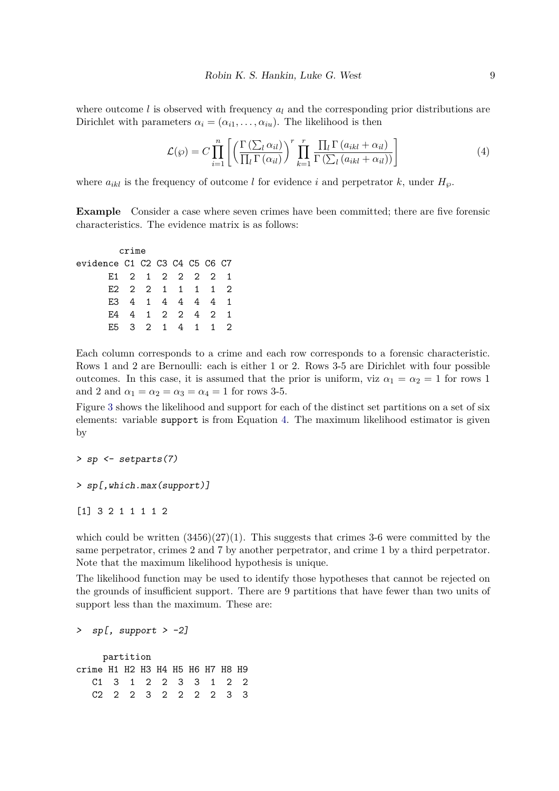where outcome *l* is observed with frequency  $a_l$  and the corresponding prior distributions are Dirichlet with parameters  $\alpha_i = (\alpha_{i1}, \ldots, \alpha_{iu})$ . The likelihood is then

<span id="page-8-0"></span>
$$
\mathcal{L}(\wp) = C \prod_{i=1}^{n} \left[ \left( \frac{\Gamma\left(\sum_{l} \alpha_{il}\right)}{\prod_{l} \Gamma\left(\alpha_{il}\right)} \right)^{r} \prod_{k=1}^{r} \frac{\prod_{l} \Gamma\left(a_{ikl} + \alpha_{il}\right)}{\Gamma\left(\sum_{l} \left(a_{ikl} + \alpha_{il}\right)\right)} \right]
$$
(4)

where  $a_{ikl}$  is the frequency of outcome *l* for evidence *i* and perpetrator *k*, under  $H_{\varphi}$ .

**Example** Consider a case where seven crimes have been committed; there are five forensic characteristics. The evidence matrix is as follows:

crime evidence C1 C2 C3 C4 C5 C6 C7 E1 2 1 2 2 2 2 1 E2 2 2 1 1 1 1 2 E3 4 1 4 4 4 4 1 E4 4 1 2 2 4 2 1 E5 3 2 1 4 1 1 2

Each column corresponds to a crime and each row corresponds to a forensic characteristic. Rows 1 and 2 are Bernoulli: each is either 1 or 2. Rows 3-5 are Dirichlet with four possible outcomes. In this case, it is assumed that the prior is uniform, viz  $\alpha_1 = \alpha_2 = 1$  for rows 1 and 2 and  $\alpha_1 = \alpha_2 = \alpha_3 = \alpha_4 = 1$  for rows 3-5.

Figure [3](#page-9-0) shows the likelihood and support for each of the distinct set partitions on a set of six elements: variable support is from Equation [4.](#page-8-0) The maximum likelihood estimator is given by

*> sp <- setparts(7)*

```
> sp[,which.max(support)]
```
[1] 3 2 1 1 1 1 2

which could be written  $(3456)(27)(1)$ . This suggests that crimes 3-6 were committed by the same perpetrator, crimes 2 and 7 by another perpetrator, and crime 1 by a third perpetrator. Note that the maximum likelihood hypothesis is unique.

The likelihood function may be used to identify those hypotheses that cannot be rejected on the grounds of insufficient support. There are 9 partitions that have fewer than two units of support less than the maximum. These are:

*> sp[, support > -2]*

partition crime H1 H2 H3 H4 H5 H6 H7 H8 H9 C1 3 1 2 2 3 3 1 2 2 C2 2 2 3 2 2 2 2 3 3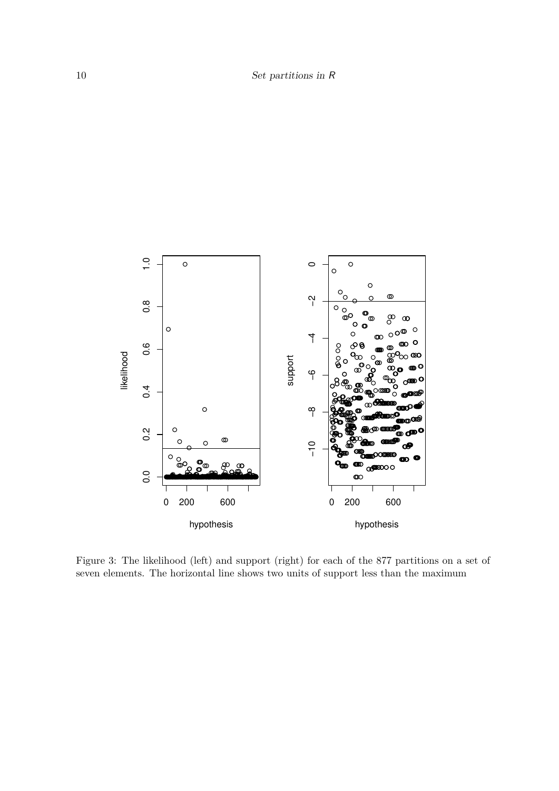

<span id="page-9-0"></span>Figure 3: The likelihood (left) and support (right) for each of the 877 partitions on a set of seven elements. The horizontal line shows two units of support less than the maximum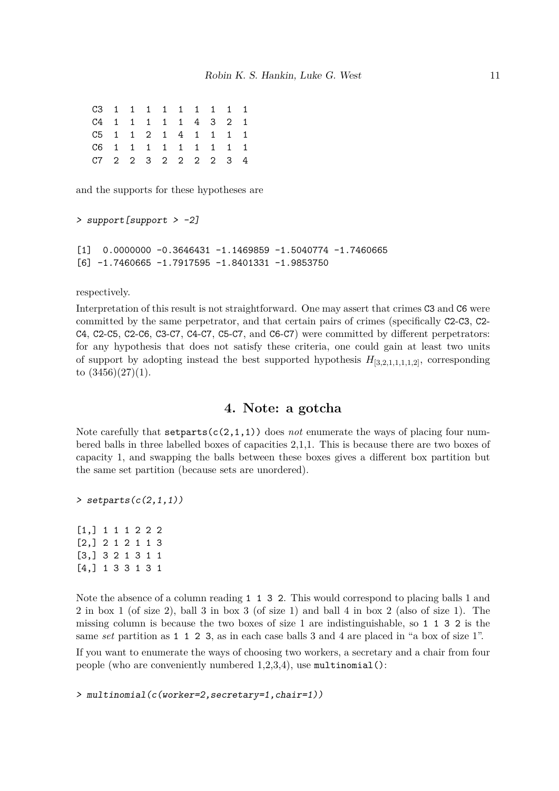C3 1 1 1 1 1 1 1 1 1 C4 1 1 1 1 1 4 3 2 1 C5 1 1 2 1 4 1 1 1 1 C6 1 1 1 1 1 1 1 1 1 C7 2 2 3 2 2 2 2 3 4

and the supports for these hypotheses are

```
> support[support > -2]
[1] 0.0000000 -0.3646431 -1.1469859 -1.5040774 -1.7460665
[6] -1.7460665 -1.7917595 -1.8401331 -1.9853750
```
respectively.

Interpretation of this result is not straightforward. One may assert that crimes C3 and C6 were committed by the same perpetrator, and that certain pairs of crimes (specifically C2-C3, C2- C4, C2-C5, C2-C6, C3-C7, C4-C7, C5-C7, and C6-C7) were committed by different perpetrators: for any hypothesis that does not satisfy these criteria, one could gain at least two units of support by adopting instead the best supported hypothesis  $H_{[3,2,1,1,1,1,2]}$ , corresponding to  $(3456)(27)(1)$ .

# **4. Note: a gotcha**

Note carefully that  $set{c(2,1,1)}$  does *not* enumerate the ways of placing four numbered balls in three labelled boxes of capacities 2,1,1. This is because there are two boxes of capacity 1, and swapping the balls between these boxes gives a different box partition but the same set partition (because sets are unordered).

*> setparts(c(2,1,1))*

[1,] 1 1 1 2 2 2 [2,] 2 1 2 1 1 3 [3,] 3 2 1 3 1 1 [4,] 1 3 3 1 3 1

Note the absence of a column reading 1 1 3 2. This would correspond to placing balls 1 and 2 in box 1 (of size 2), ball 3 in box 3 (of size 1) and ball 4 in box 2 (also of size 1). The missing column is because the two boxes of size 1 are indistinguishable, so 1 1 3 2 is the same *set* partition as 1 1 2 3, as in each case balls 3 and 4 are placed in "a box of size 1".

If you want to enumerate the ways of choosing two workers, a secretary and a chair from four people (who are conveniently numbered 1,2,3,4), use multinomial():

```
> multinomial(c(worker=2,secretary=1,chair=1))
```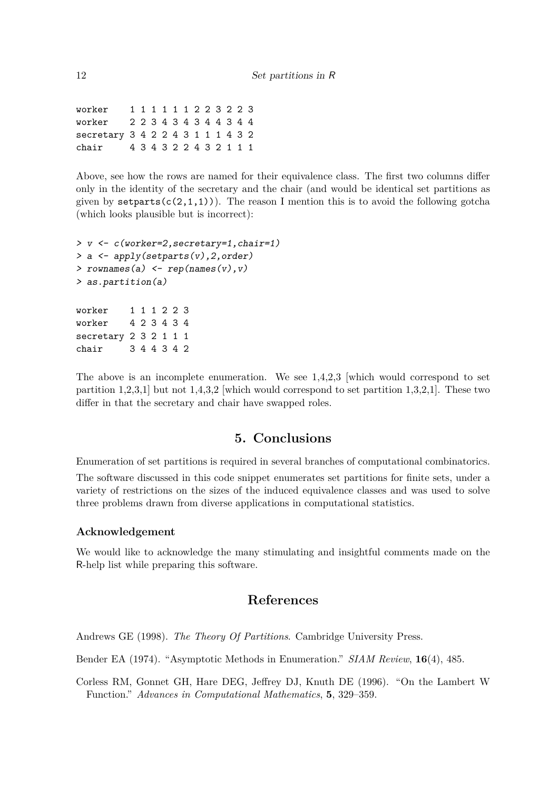worker 1 1 1 1 1 1 2 2 3 2 2 3 worker 2 2 3 4 3 4 3 4 4 3 4 4 secretary 3 4 2 2 4 3 1 1 1 4 3 2 chair 4 3 4 3 2 2 4 3 2 1 1 1

Above, see how the rows are named for their equivalence class. The first two columns differ only in the identity of the secretary and the chair (and would be identical set partitions as given by setparts( $c(2,1,1)$ )). The reason I mention this is to avoid the following gotcha (which looks plausible but is incorrect):

```
> v <- c(worker=2,secretary=1,chair=1)
> a <- apply(setparts(v),2,order)
> rownames(a) <- rep(names(v),v)
> as.partition(a)
worker 1 1 1 2 2 3
worker 4 2 3 4 3 4
secretary 2 3 2 1 1 1
chair 3 4 4 3 4 2
```
The above is an incomplete enumeration. We see 1,4,2,3 [which would correspond to set partition  $1,2,3,1$  but not  $1,4,3,2$  which would correspond to set partition  $1,3,2,1$ . These two differ in that the secretary and chair have swapped roles.

# **5. Conclusions**

Enumeration of set partitions is required in several branches of computational combinatorics.

The software discussed in this code snippet enumerates set partitions for finite sets, under a variety of restrictions on the sizes of the induced equivalence classes and was used to solve three problems drawn from diverse applications in computational statistics.

### **Acknowledgement**

We would like to acknowledge the many stimulating and insightful comments made on the R-help list while preparing this software.

# **References**

<span id="page-11-0"></span>Andrews GE (1998). *The Theory Of Partitions*. Cambridge University Press.

<span id="page-11-1"></span>Bender EA (1974). "Asymptotic Methods in Enumeration." *SIAM Review*, **16**(4), 485.

<span id="page-11-2"></span>Corless RM, Gonnet GH, Hare DEG, Jeffrey DJ, Knuth DE (1996). "On the Lambert W Function." *Advances in Computational Mathematics*, **5**, 329–359.